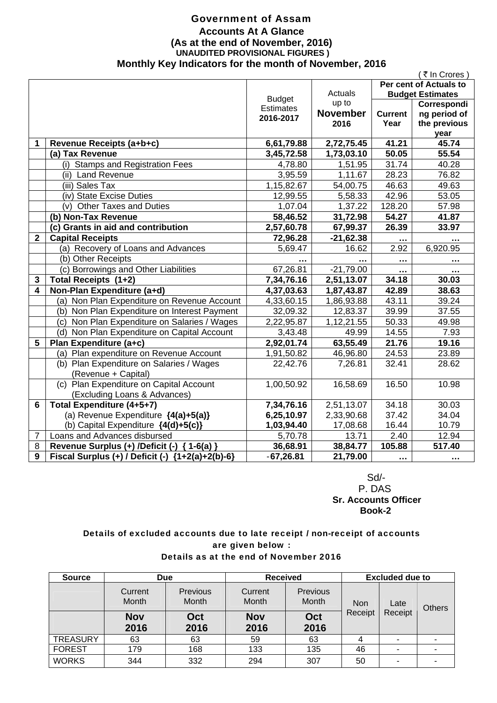### Government of Assam **Accounts At A Glance (As at the end of November, 2016) UNAUDITED PROVISIONAL FIGURES ) Monthly Key Indicators for the month of November, 2016**

|                         |                                                  |                  |                 |                | (₹In Crores )           |
|-------------------------|--------------------------------------------------|------------------|-----------------|----------------|-------------------------|
|                         |                                                  |                  |                 |                | Per cent of Actuals to  |
|                         |                                                  | <b>Budget</b>    | Actuals         |                | <b>Budget Estimates</b> |
|                         |                                                  | <b>Estimates</b> | up to           |                | Correspondi             |
|                         |                                                  | 2016-2017        | <b>November</b> | <b>Current</b> | ng period of            |
|                         |                                                  |                  | 2016            | Year           | the previous            |
|                         |                                                  |                  |                 |                | year                    |
| 1                       | Revenue Receipts (a+b+c)                         | 6,61,79.88       | 2,72,75.45      | 41.21          | 45.74                   |
|                         | (a) Tax Revenue                                  | 3,45,72.58       | 1,73,03.10      | 50.05          | 55.54                   |
|                         | (i) Stamps and Registration Fees                 | 4,78.80          | 1,51.95         | 31.74          | 40.28                   |
|                         | (ii) Land Revenue                                | 3,95.59          | 1,11.67         | 28.23          | 76.82                   |
|                         | (iii) Sales Tax                                  | 1,15,82.67       | 54,00.75        | 46.63          | 49.63                   |
|                         | (iv) State Excise Duties                         | 12,99.55         | 5,58.33         | 42.96          | 53.05                   |
|                         | (v) Other Taxes and Duties                       | 1,07.04          | 1,37.22         | 128.20         | 57.98                   |
|                         | (b) Non-Tax Revenue                              | 58,46.52         | 31,72.98        | 54.27          | 41.87                   |
|                         | (c) Grants in aid and contribution               | 2,57,60.78       | 67,99.37        | 26.39          | 33.97                   |
| $\mathbf{2}$            | <b>Capital Receipts</b>                          | 72,96.28         | $-21,62.38$     | $\cdots$       |                         |
|                         | (a) Recovery of Loans and Advances               | 5,69.47          | 16.62           | 2.92           | 6,920.95                |
|                         | (b) Other Receipts                               |                  |                 |                |                         |
|                         | (c) Borrowings and Other Liabilities             | 67,26.81         | $-21,79.00$     |                |                         |
| 3                       | Total Receipts (1+2)                             | 7,34,76.16       | 2,51,13.07      | 34.18          | 30.03                   |
| $\overline{\mathbf{4}}$ | Non-Plan Expenditure (a+d)                       | 4,37,03.63       | 1,87,43.87      | 42.89          | 38.63                   |
|                         | (a) Non Plan Expenditure on Revenue Account      | 4,33,60.15       | 1,86,93.88      | 43.11          | 39.24                   |
|                         | (b) Non Plan Expenditure on Interest Payment     | 32,09.32         | 12,83.37        | 39.99          | 37.55                   |
|                         | (c) Non Plan Expenditure on Salaries / Wages     | 2,22,95.87       | 1,12,21.55      | 50.33          | 49.98                   |
|                         | (d) Non Plan Expenditure on Capital Account      | 3,43.48          | 49.99           | 14.55          | 7.93                    |
| 5                       | Plan Expenditure (a+c)                           | 2,92,01.74       | 63,55.49        | 21.76          | 19.16                   |
|                         | (a) Plan expenditure on Revenue Account          | 1,91,50.82       | 46,96.80        | 24.53          | 23.89                   |
|                         | (b) Plan Expenditure on Salaries / Wages         | 22,42.76         | 7,26.81         | 32.41          | 28.62                   |
|                         | (Revenue + Capital)                              |                  |                 |                |                         |
|                         | (c) Plan Expenditure on Capital Account          | 1,00,50.92       | 16,58.69        | 16.50          | 10.98                   |
|                         | (Excluding Loans & Advances)                     |                  |                 |                |                         |
| $6\phantom{1}$          | Total Expenditure (4+5+7)                        | 7,34,76.16       | 2,51,13.07      | 34.18          | 30.03                   |
|                         | (a) Revenue Expenditure $\{4(a)+5(a)\}$          | 6,25,10.97       | 2,33,90.68      | 37.42          | 34.04                   |
|                         | (b) Capital Expenditure {4(d)+5(c)}              | 1,03,94.40       | 17,08.68        | 16.44          | 10.79                   |
| $\overline{7}$          | Loans and Advances disbursed                     | 5,70.78          | 13.71           | 2.40           | 12.94                   |
| 8                       | Revenue Surplus (+) /Deficit (-) { 1-6(a) }      | 36,68.91         | 38,84.77        | 105.88         | 517.40                  |
| 9                       | Fiscal Surplus (+) / Deficit (-) {1+2(a)+2(b)-6} | $-67,26.81$      | 21,79.00        |                |                         |
|                         |                                                  |                  |                 |                |                         |

 Sd/- P. DAS  **Sr. Accounts Officer Book-2** 

### Details of excluded accounts due to late receipt / non-receipt of accounts are given below : Details as at the end of November 2016

| <b>Source</b>   | <b>Due</b>         |                                 | <b>Received</b>    |                   | <b>Excluded due to</b> |         |   |  |  |  |      |        |
|-----------------|--------------------|---------------------------------|--------------------|-------------------|------------------------|---------|---|--|--|--|------|--------|
|                 | Current<br>Month   | <b>Previous</b><br><b>Month</b> | Current<br>Month   | Previous<br>Month | <b>Non</b><br>Receipt  |         |   |  |  |  | Late | Others |
|                 | <b>Nov</b><br>2016 | Oct<br>2016                     | <b>Nov</b><br>2016 | Oct<br>2016       |                        | Receipt |   |  |  |  |      |        |
| <b>TREASURY</b> | 63                 | 63                              | 59                 | 63                | 4                      | ۰       |   |  |  |  |      |        |
| <b>FOREST</b>   | 179                | 168                             | 133                | 135               | 46                     | ۰       |   |  |  |  |      |        |
| <b>WORKS</b>    | 344                | 332                             | 294                | 307               | 50                     | ۰       | ۰ |  |  |  |      |        |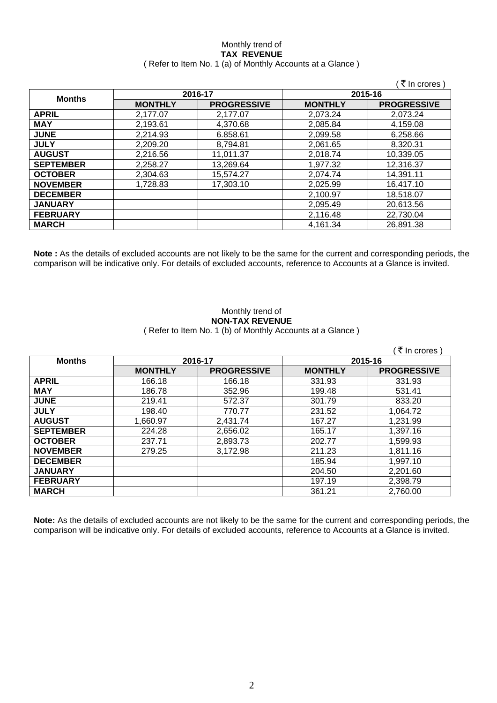### Monthly trend of **TAX REVENUE**  ( Refer to Item No. 1 (a) of Monthly Accounts at a Glance )

|                  |                |                    |                | (₹ In crores)      |
|------------------|----------------|--------------------|----------------|--------------------|
|                  |                | 2016-17            |                | 2015-16            |
| <b>Months</b>    | <b>MONTHLY</b> | <b>PROGRESSIVE</b> | <b>MONTHLY</b> | <b>PROGRESSIVE</b> |
| <b>APRIL</b>     | 2,177.07       | 2.177.07           | 2,073.24       | 2,073.24           |
| <b>MAY</b>       | 2,193.61       | 4,370.68           | 2,085.84       | 4,159.08           |
| <b>JUNE</b>      | 2,214.93       | 6.858.61           | 2,099.58       | 6,258.66           |
| <b>JULY</b>      | 2,209.20       | 8,794.81           | 2,061.65       | 8,320.31           |
| <b>AUGUST</b>    | 2,216.56       | 11.011.37          | 2,018.74       | 10,339.05          |
| <b>SEPTEMBER</b> | 2,258.27       | 13,269.64          | 1,977.32       | 12,316.37          |
| <b>OCTOBER</b>   | 2,304.63       | 15,574.27          | 2,074.74       | 14,391.11          |
| <b>NOVEMBER</b>  | 1,728.83       | 17,303.10          | 2,025.99       | 16,417.10          |
| <b>DECEMBER</b>  |                |                    | 2,100.97       | 18,518.07          |
| <b>JANUARY</b>   |                |                    | 2,095.49       | 20,613.56          |
| <b>FEBRUARY</b>  |                |                    | 2,116.48       | 22,730.04          |
| <b>MARCH</b>     |                |                    | 4,161.34       | 26,891.38          |

**Note :** As the details of excluded accounts are not likely to be the same for the current and corresponding periods, the comparison will be indicative only. For details of excluded accounts, reference to Accounts at a Glance is invited.

### Monthly trend of **NON-TAX REVENUE**  ( Refer to Item No. 1 (b) of Monthly Accounts at a Glance )

| <b>Months</b>    |                | 2016-17            |                | 2015-16            |
|------------------|----------------|--------------------|----------------|--------------------|
|                  | <b>MONTHLY</b> | <b>PROGRESSIVE</b> | <b>MONTHLY</b> | <b>PROGRESSIVE</b> |
| <b>APRIL</b>     | 166.18         | 166.18             | 331.93         | 331.93             |
| <b>MAY</b>       | 186.78         | 352.96             | 199.48         | 531.41             |
| <b>JUNE</b>      | 219.41         | 572.37             | 301.79         | 833.20             |
| <b>JULY</b>      | 198.40         | 770.77             | 231.52         | 1,064.72           |
| <b>AUGUST</b>    | 1,660.97       | 2,431.74           | 167.27         | 1,231.99           |
| <b>SEPTEMBER</b> | 224.28         | 2,656.02           | 165.17         | 1,397.16           |
| <b>OCTOBER</b>   | 237.71         | 2,893.73           | 202.77         | 1,599.93           |
| <b>NOVEMBER</b>  | 279.25         | 3,172.98           | 211.23         | 1,811.16           |
| <b>DECEMBER</b>  |                |                    | 185.94         | 1,997.10           |
| <b>JANUARY</b>   |                |                    | 204.50         | 2,201.60           |
| <b>FEBRUARY</b>  |                |                    | 197.19         | 2,398.79           |
| <b>MARCH</b>     |                |                    | 361.21         | 2,760.00           |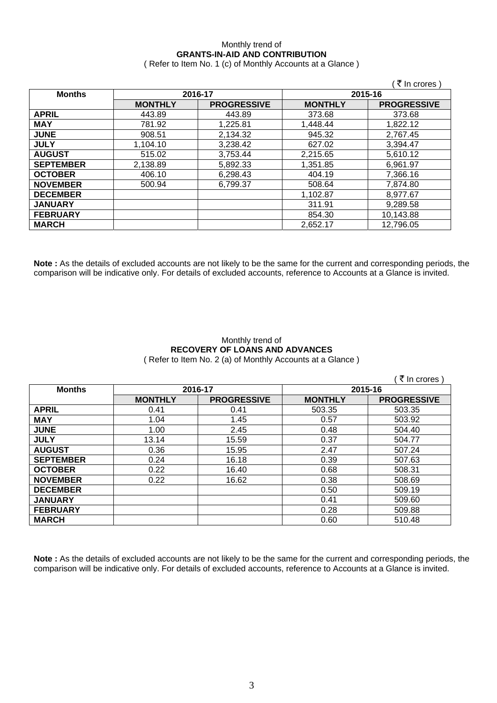# Monthly trend of **GRANTS-IN-AID AND CONTRIBUTION**

( Refer to Item No. 1 (c) of Monthly Accounts at a Glance )

|                          |                |                    |                | ं ₹ In crores )    |
|--------------------------|----------------|--------------------|----------------|--------------------|
| 2016-17<br><b>Months</b> |                |                    | 2015-16        |                    |
|                          | <b>MONTHLY</b> | <b>PROGRESSIVE</b> | <b>MONTHLY</b> | <b>PROGRESSIVE</b> |
| <b>APRIL</b>             | 443.89         | 443.89             | 373.68         | 373.68             |
| <b>MAY</b>               | 781.92         | 1,225.81           | 1,448.44       | 1,822.12           |
| <b>JUNE</b>              | 908.51         | 2,134.32           | 945.32         | 2,767.45           |
| <b>JULY</b>              | 1,104.10       | 3,238.42           | 627.02         | 3,394.47           |
| <b>AUGUST</b>            | 515.02         | 3,753.44           | 2,215.65       | 5,610.12           |
| <b>SEPTEMBER</b>         | 2,138.89       | 5,892.33           | 1,351.85       | 6,961.97           |
| <b>OCTOBER</b>           | 406.10         | 6,298.43           | 404.19         | 7,366.16           |
| <b>NOVEMBER</b>          | 500.94         | 6,799.37           | 508.64         | 7,874.80           |
| <b>DECEMBER</b>          |                |                    | 1,102.87       | 8,977.67           |
| <b>JANUARY</b>           |                |                    | 311.91         | 9,289.58           |
| <b>FEBRUARY</b>          |                |                    | 854.30         | 10,143.88          |
| <b>MARCH</b>             |                |                    | 2,652.17       | 12,796.05          |

**Note :** As the details of excluded accounts are not likely to be the same for the current and corresponding periods, the comparison will be indicative only. For details of excluded accounts, reference to Accounts at a Glance is invited.

### Monthly trend of **RECOVERY OF LOANS AND ADVANCES**  ( Refer to Item No. 2 (a) of Monthly Accounts at a Glance )

|                  |                |                    |                | ₹ In crores        |
|------------------|----------------|--------------------|----------------|--------------------|
| <b>Months</b>    | 2016-17        |                    | 2015-16        |                    |
|                  | <b>MONTHLY</b> | <b>PROGRESSIVE</b> | <b>MONTHLY</b> | <b>PROGRESSIVE</b> |
| <b>APRIL</b>     | 0.41           | 0.41               | 503.35         | 503.35             |
| <b>MAY</b>       | 1.04           | 1.45               | 0.57           | 503.92             |
| <b>JUNE</b>      | 1.00           | 2.45               | 0.48           | 504.40             |
| <b>JULY</b>      | 13.14          | 15.59              | 0.37           | 504.77             |
| <b>AUGUST</b>    | 0.36           | 15.95              | 2.47           | 507.24             |
| <b>SEPTEMBER</b> | 0.24           | 16.18              | 0.39           | 507.63             |
| <b>OCTOBER</b>   | 0.22           | 16.40              | 0.68           | 508.31             |
| <b>NOVEMBER</b>  | 0.22           | 16.62              | 0.38           | 508.69             |
| <b>DECEMBER</b>  |                |                    | 0.50           | 509.19             |
| <b>JANUARY</b>   |                |                    | 0.41           | 509.60             |
| <b>FEBRUARY</b>  |                |                    | 0.28           | 509.88             |
| <b>MARCH</b>     |                |                    | 0.60           | 510.48             |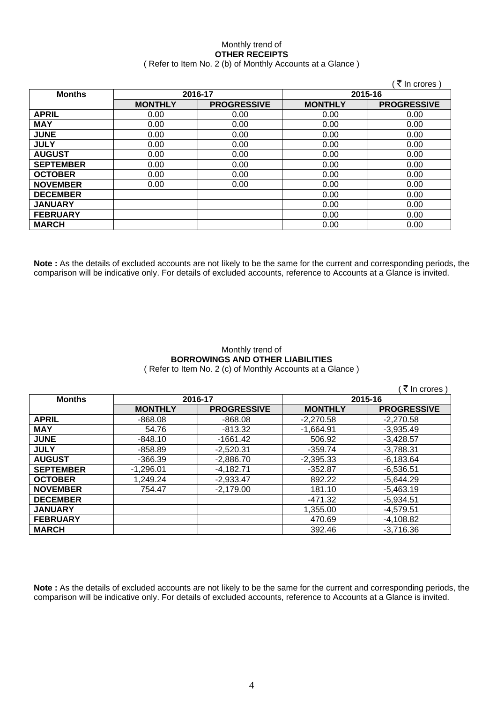### Monthly trend of **OTHER RECEIPTS**  ( Refer to Item No. 2 (b) of Monthly Accounts at a Glance )

|                  |                |                    |                | ∶ ₹ In crores )    |
|------------------|----------------|--------------------|----------------|--------------------|
| <b>Months</b>    |                | 2016-17            | 2015-16        |                    |
|                  | <b>MONTHLY</b> | <b>PROGRESSIVE</b> | <b>MONTHLY</b> | <b>PROGRESSIVE</b> |
| <b>APRIL</b>     | 0.00           | 0.00               | 0.00           | 0.00               |
| <b>MAY</b>       | 0.00           | 0.00               | 0.00           | 0.00               |
| <b>JUNE</b>      | 0.00           | 0.00               | 0.00           | 0.00               |
| <b>JULY</b>      | 0.00           | 0.00               | 0.00           | 0.00               |
| <b>AUGUST</b>    | 0.00           | 0.00               | 0.00           | 0.00               |
| <b>SEPTEMBER</b> | 0.00           | 0.00               | 0.00           | 0.00               |
| <b>OCTOBER</b>   | 0.00           | 0.00               | 0.00           | 0.00               |
| <b>NOVEMBER</b>  | 0.00           | 0.00               | 0.00           | 0.00               |
| <b>DECEMBER</b>  |                |                    | 0.00           | 0.00               |
| <b>JANUARY</b>   |                |                    | 0.00           | 0.00               |
| <b>FEBRUARY</b>  |                |                    | 0.00           | 0.00               |
| <b>MARCH</b>     |                |                    | 0.00           | 0.00               |

**Note :** As the details of excluded accounts are not likely to be the same for the current and corresponding periods, the comparison will be indicative only. For details of excluded accounts, reference to Accounts at a Glance is invited.

### Monthly trend of **BORROWINGS AND OTHER LIABILITIES**  ( Refer to Item No. 2 (c) of Monthly Accounts at a Glance )

|                  |                |                    |                | ( ₹ In crores)     |
|------------------|----------------|--------------------|----------------|--------------------|
| <b>Months</b>    | 2016-17        |                    | 2015-16        |                    |
|                  | <b>MONTHLY</b> | <b>PROGRESSIVE</b> | <b>MONTHLY</b> | <b>PROGRESSIVE</b> |
| <b>APRIL</b>     | $-868.08$      | $-868.08$          | $-2,270.58$    | $-2,270.58$        |
| <b>MAY</b>       | 54.76          | $-813.32$          | $-1,664.91$    | $-3,935.49$        |
| <b>JUNE</b>      | $-848.10$      | $-1661.42$         | 506.92         | $-3,428.57$        |
| <b>JULY</b>      | -858.89        | $-2,520.31$        | $-359.74$      | $-3,788.31$        |
| <b>AUGUST</b>    | $-366.39$      | $-2,886.70$        | $-2,395.33$    | $-6,183.64$        |
| <b>SEPTEMBER</b> | $-1,296.01$    | $-4,182.71$        | $-352.87$      | $-6,536.51$        |
| <b>OCTOBER</b>   | 1,249.24       | $-2,933.47$        | 892.22         | $-5,644.29$        |
| <b>NOVEMBER</b>  | 754.47         | $-2,179.00$        | 181.10         | $-5,463.19$        |
| <b>DECEMBER</b>  |                |                    | -471.32        | $-5,934.51$        |
| <b>JANUARY</b>   |                |                    | 1,355.00       | $-4,579.51$        |
| <b>FEBRUARY</b>  |                |                    | 470.69         | $-4,108.82$        |
| <b>MARCH</b>     |                |                    | 392.46         | $-3,716.36$        |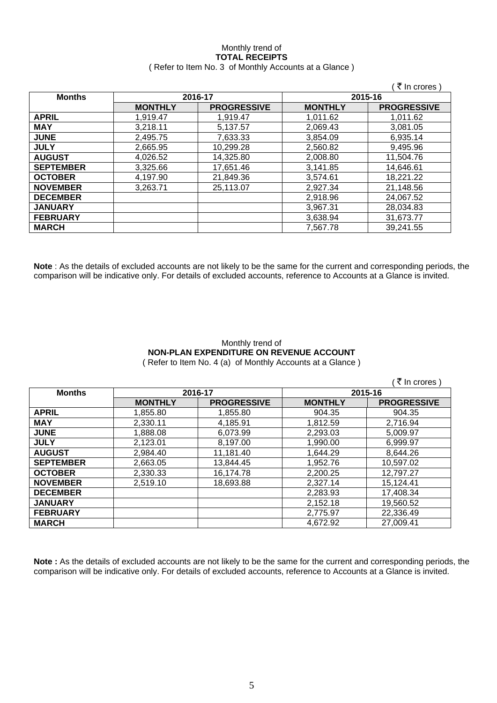## Monthly trend of **TOTAL RECEIPTS**

### ( Refer to Item No. 3 of Monthly Accounts at a Glance )

|                  |                |                    |                | ₹ In crores)       |
|------------------|----------------|--------------------|----------------|--------------------|
| <b>Months</b>    |                | 2016-17            | 2015-16        |                    |
|                  | <b>MONTHLY</b> | <b>PROGRESSIVE</b> | <b>MONTHLY</b> | <b>PROGRESSIVE</b> |
| <b>APRIL</b>     | 1.919.47       | 1.919.47           | 1.011.62       | 1.011.62           |
| <b>MAY</b>       | 3,218.11       | 5,137.57           | 2.069.43       | 3,081.05           |
| <b>JUNE</b>      | 2,495.75       | 7,633.33           | 3,854.09       | 6,935.14           |
| <b>JULY</b>      | 2,665.95       | 10,299.28          | 2,560.82       | 9,495.96           |
| <b>AUGUST</b>    | 4,026.52       | 14,325.80          | 2,008.80       | 11,504.76          |
| <b>SEPTEMBER</b> | 3,325.66       | 17,651.46          | 3,141.85       | 14,646.61          |
| <b>OCTOBER</b>   | 4,197.90       | 21,849.36          | 3,574.61       | 18,221.22          |
| <b>NOVEMBER</b>  | 3,263.71       | 25,113.07          | 2,927.34       | 21,148.56          |
| <b>DECEMBER</b>  |                |                    | 2,918.96       | 24,067.52          |
| <b>JANUARY</b>   |                |                    | 3,967.31       | 28,034.83          |
| <b>FEBRUARY</b>  |                |                    | 3,638.94       | 31,673.77          |
| <b>MARCH</b>     |                |                    | 7,567.78       | 39,241.55          |

**Note** : As the details of excluded accounts are not likely to be the same for the current and corresponding periods, the comparison will be indicative only. For details of excluded accounts, reference to Accounts at a Glance is invited.

## Monthly trend of **NON-PLAN EXPENDITURE ON REVENUE ACCOUNT**

( Refer to Item No. 4 (a) of Monthly Accounts at a Glance )

|                  |                |                    |                | ं ₹ In crores )    |
|------------------|----------------|--------------------|----------------|--------------------|
| <b>Months</b>    |                | 2016-17            |                | 2015-16            |
|                  | <b>MONTHLY</b> | <b>PROGRESSIVE</b> | <b>MONTHLY</b> | <b>PROGRESSIVE</b> |
| <b>APRIL</b>     | 1.855.80       | 1,855.80           | 904.35         | 904.35             |
| <b>MAY</b>       | 2,330.11       | 4,185.91           | 1,812.59       | 2,716.94           |
| <b>JUNE</b>      | 1,888.08       | 6,073.99           | 2,293.03       | 5,009.97           |
| <b>JULY</b>      | 2.123.01       | 8,197.00           | 1,990.00       | 6,999.97           |
| <b>AUGUST</b>    | 2,984.40       | 11,181.40          | 1,644.29       | 8,644.26           |
| <b>SEPTEMBER</b> | 2,663.05       | 13,844.45          | 1,952.76       | 10,597.02          |
| <b>OCTOBER</b>   | 2,330.33       | 16,174.78          | 2,200.25       | 12,797.27          |
| <b>NOVEMBER</b>  | 2,519.10       | 18,693.88          | 2,327.14       | 15,124.41          |
| <b>DECEMBER</b>  |                |                    | 2,283.93       | 17,408.34          |
| <b>JANUARY</b>   |                |                    | 2,152.18       | 19,560.52          |
| <b>FEBRUARY</b>  |                |                    | 2,775.97       | 22,336.49          |
| <b>MARCH</b>     |                |                    | 4,672.92       | 27,009.41          |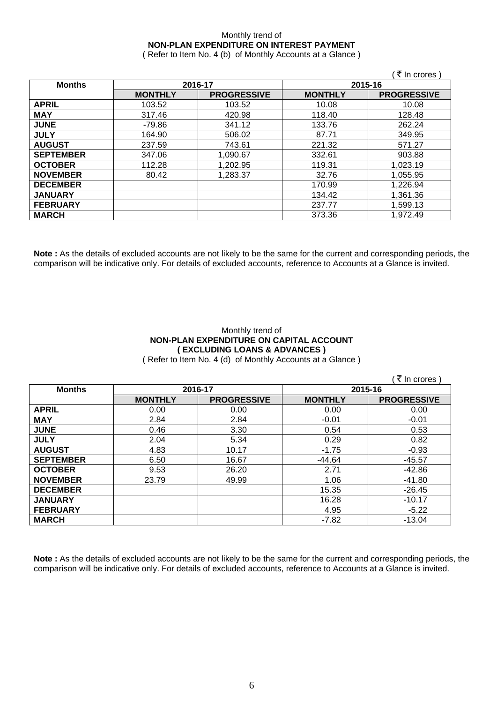## Monthly trend of **NON-PLAN EXPENDITURE ON INTEREST PAYMENT**

( Refer to Item No. 4 (b) of Monthly Accounts at a Glance )

|                  |                |                    |                | ₹ In crores)       |
|------------------|----------------|--------------------|----------------|--------------------|
| <b>Months</b>    | 2016-17        |                    | 2015-16        |                    |
|                  | <b>MONTHLY</b> | <b>PROGRESSIVE</b> | <b>MONTHLY</b> | <b>PROGRESSIVE</b> |
| <b>APRIL</b>     | 103.52         | 103.52             | 10.08          | 10.08              |
| <b>MAY</b>       | 317.46         | 420.98             | 118.40         | 128.48             |
| <b>JUNE</b>      | -79.86         | 341.12             | 133.76         | 262.24             |
| <b>JULY</b>      | 164.90         | 506.02             | 87.71          | 349.95             |
| <b>AUGUST</b>    | 237.59         | 743.61             | 221.32         | 571.27             |
| <b>SEPTEMBER</b> | 347.06         | 1,090.67           | 332.61         | 903.88             |
| <b>OCTOBER</b>   | 112.28         | 1,202.95           | 119.31         | 1,023.19           |
| <b>NOVEMBER</b>  | 80.42          | 1,283.37           | 32.76          | 1,055.95           |
| <b>DECEMBER</b>  |                |                    | 170.99         | 1,226.94           |
| <b>JANUARY</b>   |                |                    | 134.42         | 1,361.36           |
| <b>FEBRUARY</b>  |                |                    | 237.77         | 1,599.13           |
| <b>MARCH</b>     |                |                    | 373.36         | 1.972.49           |

**Note :** As the details of excluded accounts are not likely to be the same for the current and corresponding periods, the comparison will be indicative only. For details of excluded accounts, reference to Accounts at a Glance is invited.

## Monthly trend of **NON-PLAN EXPENDITURE ON CAPITAL ACCOUNT ( EXCLUDING LOANS & ADVANCES )**

( Refer to Item No. 4 (d) of Monthly Accounts at a Glance )

|                  |                |                    |                | ∶ ₹ In crores )    |
|------------------|----------------|--------------------|----------------|--------------------|
| <b>Months</b>    |                | 2016-17            | 2015-16        |                    |
|                  | <b>MONTHLY</b> | <b>PROGRESSIVE</b> | <b>MONTHLY</b> | <b>PROGRESSIVE</b> |
| <b>APRIL</b>     | 0.00           | 0.00               | 0.00           | 0.00               |
| <b>MAY</b>       | 2.84           | 2.84               | $-0.01$        | $-0.01$            |
| <b>JUNE</b>      | 0.46           | 3.30               | 0.54           | 0.53               |
| <b>JULY</b>      | 2.04           | 5.34               | 0.29           | 0.82               |
| <b>AUGUST</b>    | 4.83           | 10.17              | $-1.75$        | $-0.93$            |
| <b>SEPTEMBER</b> | 6.50           | 16.67              | $-44.64$       | $-45.57$           |
| <b>OCTOBER</b>   | 9.53           | 26.20              | 2.71           | $-42.86$           |
| <b>NOVEMBER</b>  | 23.79          | 49.99              | 1.06           | $-41.80$           |
| <b>DECEMBER</b>  |                |                    | 15.35          | $-26.45$           |
| <b>JANUARY</b>   |                |                    | 16.28          | $-10.17$           |
| <b>FEBRUARY</b>  |                |                    | 4.95           | $-5.22$            |
| <b>MARCH</b>     |                |                    | $-7.82$        | $-13.04$           |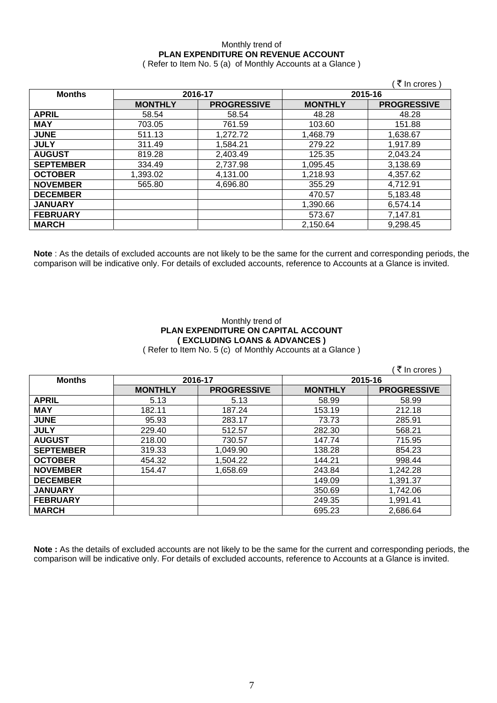## Monthly trend of **PLAN EXPENDITURE ON REVENUE ACCOUNT**

( Refer to Item No. 5 (a) of Monthly Accounts at a Glance )

|                  |                    |                    |                | ∶₹ In crores )     |
|------------------|--------------------|--------------------|----------------|--------------------|
| <b>Months</b>    | 2016-17<br>2015-16 |                    |                |                    |
|                  | <b>MONTHLY</b>     | <b>PROGRESSIVE</b> | <b>MONTHLY</b> | <b>PROGRESSIVE</b> |
| <b>APRIL</b>     | 58.54              | 58.54              | 48.28          | 48.28              |
| <b>MAY</b>       | 703.05             | 761.59             | 103.60         | 151.88             |
| <b>JUNE</b>      | 511.13             | 1,272.72           | 1,468.79       | 1,638.67           |
| <b>JULY</b>      | 311.49             | 1,584.21           | 279.22         | 1.917.89           |
| <b>AUGUST</b>    | 819.28             | 2,403.49           | 125.35         | 2,043.24           |
| <b>SEPTEMBER</b> | 334.49             | 2,737.98           | 1,095.45       | 3,138.69           |
| <b>OCTOBER</b>   | 1,393.02           | 4,131.00           | 1,218.93       | 4,357.62           |
| <b>NOVEMBER</b>  | 565.80             | 4,696.80           | 355.29         | 4,712.91           |
| <b>DECEMBER</b>  |                    |                    | 470.57         | 5,183.48           |
| <b>JANUARY</b>   |                    |                    | 1,390.66       | 6,574.14           |
| <b>FEBRUARY</b>  |                    |                    | 573.67         | 7,147.81           |
| <b>MARCH</b>     |                    |                    | 2,150.64       | 9,298.45           |

**Note** : As the details of excluded accounts are not likely to be the same for the current and corresponding periods, the comparison will be indicative only. For details of excluded accounts, reference to Accounts at a Glance is invited.

### Monthly trend of **PLAN EXPENDITURE ON CAPITAL ACCOUNT ( EXCLUDING LOANS & ADVANCES )**

( Refer to Item No. 5 (c) of Monthly Accounts at a Glance )

|                  |                |                    |                | ∶ ₹ In crores)     |
|------------------|----------------|--------------------|----------------|--------------------|
| <b>Months</b>    |                | 2016-17            | 2015-16        |                    |
|                  | <b>MONTHLY</b> | <b>PROGRESSIVE</b> | <b>MONTHLY</b> | <b>PROGRESSIVE</b> |
| <b>APRIL</b>     | 5.13           | 5.13               | 58.99          | 58.99              |
| <b>MAY</b>       | 182.11         | 187.24             | 153.19         | 212.18             |
| <b>JUNE</b>      | 95.93          | 283.17             | 73.73          | 285.91             |
| <b>JULY</b>      | 229.40         | 512.57             | 282.30         | 568.21             |
| <b>AUGUST</b>    | 218.00         | 730.57             | 147.74         | 715.95             |
| <b>SEPTEMBER</b> | 319.33         | 1,049.90           | 138.28         | 854.23             |
| <b>OCTOBER</b>   | 454.32         | 1,504.22           | 144.21         | 998.44             |
| <b>NOVEMBER</b>  | 154.47         | 1,658.69           | 243.84         | 1,242.28           |
| <b>DECEMBER</b>  |                |                    | 149.09         | 1,391.37           |
| <b>JANUARY</b>   |                |                    | 350.69         | 1,742.06           |
| <b>FEBRUARY</b>  |                |                    | 249.35         | 1,991.41           |
| <b>MARCH</b>     |                |                    | 695.23         | 2,686.64           |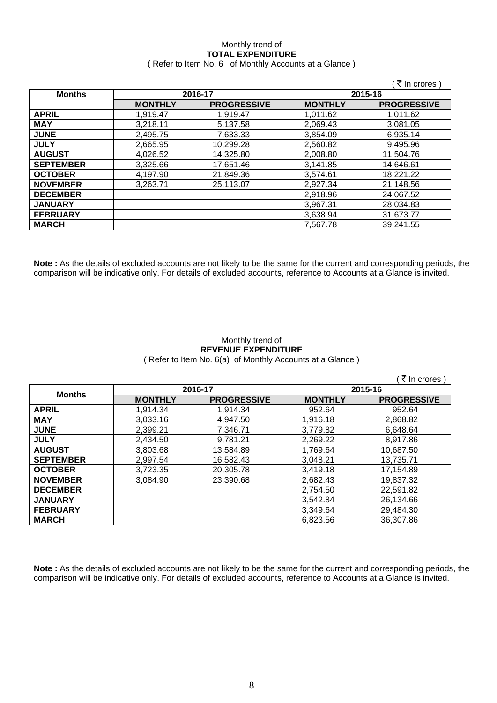# Monthly trend of **TOTAL EXPENDITURE**

|  | (Refer to Item No. 6 of Monthly Accounts at a Glance) |  |
|--|-------------------------------------------------------|--|
|--|-------------------------------------------------------|--|

|                  |                |                    |                | ∶ <i>ই</i> In crores ) |
|------------------|----------------|--------------------|----------------|------------------------|
| <b>Months</b>    | 2016-17        |                    | 2015-16        |                        |
|                  | <b>MONTHLY</b> | <b>PROGRESSIVE</b> | <b>MONTHLY</b> | <b>PROGRESSIVE</b>     |
| <b>APRIL</b>     | 1,919.47       | 1.919.47           | 1.011.62       | 1,011.62               |
| <b>MAY</b>       | 3,218.11       | 5,137.58           | 2,069.43       | 3,081.05               |
| <b>JUNE</b>      | 2,495.75       | 7,633.33           | 3,854.09       | 6,935.14               |
| <b>JULY</b>      | 2,665.95       | 10,299.28          | 2,560.82       | 9,495.96               |
| <b>AUGUST</b>    | 4.026.52       | 14.325.80          | 2,008.80       | 11,504.76              |
| <b>SEPTEMBER</b> | 3,325.66       | 17,651.46          | 3,141.85       | 14,646.61              |
| <b>OCTOBER</b>   | 4,197.90       | 21,849.36          | 3,574.61       | 18,221.22              |
| <b>NOVEMBER</b>  | 3,263.71       | 25,113.07          | 2,927.34       | 21,148.56              |
| <b>DECEMBER</b>  |                |                    | 2,918.96       | 24,067.52              |
| <b>JANUARY</b>   |                |                    | 3,967.31       | 28,034.83              |
| <b>FEBRUARY</b>  |                |                    | 3,638.94       | 31,673.77              |
| <b>MARCH</b>     |                |                    | 7,567.78       | 39,241.55              |

**Note :** As the details of excluded accounts are not likely to be the same for the current and corresponding periods, the comparison will be indicative only. For details of excluded accounts, reference to Accounts at a Glance is invited.

### Monthly trend of **REVENUE EXPENDITURE**  ( Refer to Item No. 6(a) of Monthly Accounts at a Glance )

|                  |                |                    |                | ₹ In crores        |
|------------------|----------------|--------------------|----------------|--------------------|
| <b>Months</b>    | 2016-17        |                    |                | 2015-16            |
|                  | <b>MONTHLY</b> | <b>PROGRESSIVE</b> | <b>MONTHLY</b> | <b>PROGRESSIVE</b> |
| <b>APRIL</b>     | 1,914.34       | 1,914.34           | 952.64         | 952.64             |
| <b>MAY</b>       | 3,033.16       | 4,947.50           | 1,916.18       | 2,868.82           |
| <b>JUNE</b>      | 2,399.21       | 7,346.71           | 3,779.82       | 6,648.64           |
| <b>JULY</b>      | 2,434.50       | 9,781.21           | 2,269.22       | 8,917.86           |
| <b>AUGUST</b>    | 3,803.68       | 13,584.89          | 1,769.64       | 10,687.50          |
| <b>SEPTEMBER</b> | 2,997.54       | 16,582.43          | 3,048.21       | 13,735.71          |
| <b>OCTOBER</b>   | 3,723.35       | 20,305.78          | 3,419.18       | 17,154.89          |
| <b>NOVEMBER</b>  | 3,084.90       | 23,390.68          | 2.682.43       | 19,837.32          |
| <b>DECEMBER</b>  |                |                    | 2,754.50       | 22,591.82          |
| <b>JANUARY</b>   |                |                    | 3,542.84       | 26,134.66          |
| <b>FEBRUARY</b>  |                |                    | 3.349.64       | 29,484.30          |
| <b>MARCH</b>     |                |                    | 6,823.56       | 36,307.86          |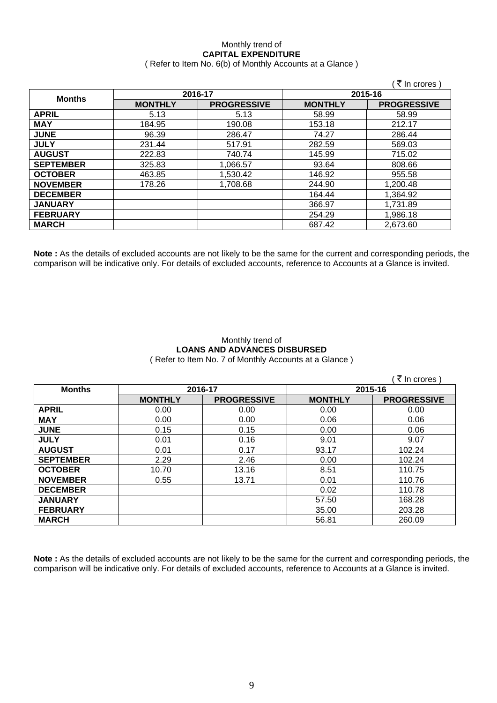### Monthly trend of **CAPITAL EXPENDITURE**  ( Refer to Item No. 6(b) of Monthly Accounts at a Glance )

|                  |                |                    |                | ∶₹ In crores )     |  |
|------------------|----------------|--------------------|----------------|--------------------|--|
| <b>Months</b>    | 2016-17        |                    |                | 2015-16            |  |
|                  | <b>MONTHLY</b> | <b>PROGRESSIVE</b> | <b>MONTHLY</b> | <b>PROGRESSIVE</b> |  |
| <b>APRIL</b>     | 5.13           | 5.13               | 58.99          | 58.99              |  |
| <b>MAY</b>       | 184.95         | 190.08             | 153.18         | 212.17             |  |
| <b>JUNE</b>      | 96.39          | 286.47             | 74.27          | 286.44             |  |
| <b>JULY</b>      | 231.44         | 517.91             | 282.59         | 569.03             |  |
| <b>AUGUST</b>    | 222.83         | 740.74             | 145.99         | 715.02             |  |
| <b>SEPTEMBER</b> | 325.83         | 1,066.57           | 93.64          | 808.66             |  |
| <b>OCTOBER</b>   | 463.85         | 1,530.42           | 146.92         | 955.58             |  |
| <b>NOVEMBER</b>  | 178.26         | 1,708.68           | 244.90         | 1,200.48           |  |
| <b>DECEMBER</b>  |                |                    | 164.44         | 1,364.92           |  |
| <b>JANUARY</b>   |                |                    | 366.97         | 1,731.89           |  |
| <b>FEBRUARY</b>  |                |                    | 254.29         | 1,986.18           |  |
| <b>MARCH</b>     |                |                    | 687.42         | 2,673.60           |  |

**Note :** As the details of excluded accounts are not likely to be the same for the current and corresponding periods, the comparison will be indicative only. For details of excluded accounts, reference to Accounts at a Glance is invited.

### Monthly trend of **LOANS AND ADVANCES DISBURSED**  ( Refer to Item No. 7 of Monthly Accounts at a Glance )

|                  |                |                    |                | ₹ In crores)       |
|------------------|----------------|--------------------|----------------|--------------------|
| <b>Months</b>    | 2016-17        |                    | 2015-16        |                    |
|                  | <b>MONTHLY</b> | <b>PROGRESSIVE</b> | <b>MONTHLY</b> | <b>PROGRESSIVE</b> |
| <b>APRIL</b>     | 0.00           | 0.00               | 0.00           | 0.00               |
| <b>MAY</b>       | 0.00           | 0.00               | 0.06           | 0.06               |
| <b>JUNE</b>      | 0.15           | 0.15               | 0.00           | 0.06               |
| <b>JULY</b>      | 0.01           | 0.16               | 9.01           | 9.07               |
| <b>AUGUST</b>    | 0.01           | 0.17               | 93.17          | 102.24             |
| <b>SEPTEMBER</b> | 2.29           | 2.46               | 0.00           | 102.24             |
| <b>OCTOBER</b>   | 10.70          | 13.16              | 8.51           | 110.75             |
| <b>NOVEMBER</b>  | 0.55           | 13.71              | 0.01           | 110.76             |
| <b>DECEMBER</b>  |                |                    | 0.02           | 110.78             |
| <b>JANUARY</b>   |                |                    | 57.50          | 168.28             |
| <b>FEBRUARY</b>  |                |                    | 35.00          | 203.28             |
| <b>MARCH</b>     |                |                    | 56.81          | 260.09             |